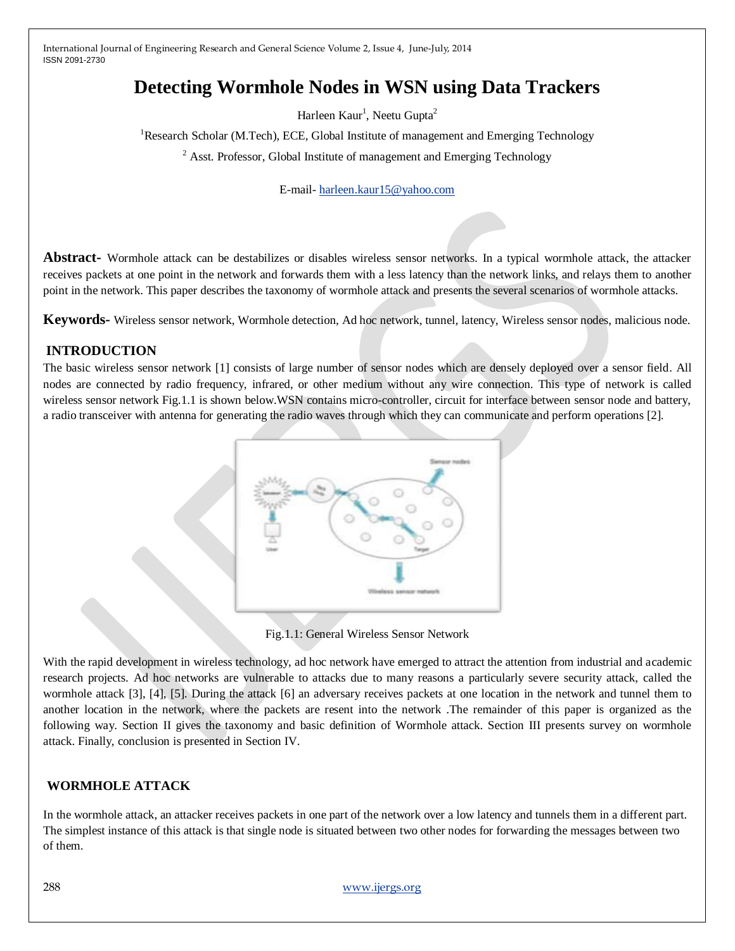# **Detecting Wormhole Nodes in WSN using Data Trackers**

Harleen Kaur<sup>1</sup>, Neetu Gupta<sup>2</sup>

<sup>1</sup>Research Scholar (M.Tech), ECE, Global Institute of management and Emerging Technology

 $2$  Asst. Professor, Global Institute of management and Emerging Technology

E-mail- [harleen.kaur15@yahoo.com](mailto:harleen.kaur15@yahoo.com)

**Abstract-** Wormhole attack can be destabilizes or disables wireless sensor networks. In a typical wormhole attack, the attacker receives packets at one point in the network and forwards them with a less latency than the network links, and relays them to another point in the network. This paper describes the taxonomy of wormhole attack and presents the several scenarios of wormhole attacks.

**Keywords-** Wireless sensor network, Wormhole detection, Ad hoc network, tunnel, latency, Wireless sensor nodes, malicious node.

# **INTRODUCTION**

The basic wireless sensor network [1] consists of large number of sensor nodes which are densely deployed over a sensor field. All nodes are connected by radio frequency, infrared, or other medium without any wire connection. This type of network is called wireless sensor network Fig.1.1 is shown below.WSN contains micro-controller, circuit for interface between sensor node and battery, a radio transceiver with antenna for generating the radio waves through which they can communicate and perform operations [2].



Fig.1.1: General Wireless Sensor Network

With the rapid development in wireless technology, ad hoc network have emerged to attract the attention from industrial and academic research projects. Ad hoc networks are vulnerable to attacks due to many reasons a particularly severe security attack, called the wormhole attack [3], [4], [5]. During the attack [6] an adversary receives packets at one location in the network and tunnel them to another location in the network, where the packets are resent into the network .The remainder of this paper is organized as the following way. Section II gives the taxonomy and basic definition of Wormhole attack. Section III presents survey on wormhole attack. Finally, conclusion is presented in Section IV.

# **WORMHOLE ATTACK**

In the wormhole attack, an attacker receives packets in one part of the network over a low latency and tunnels them in a different part. The simplest instance of this attack is that single node is situated between two other nodes for forwarding the messages between two of them.

288 [www.ijergs.org](http://www.ijergs.org/)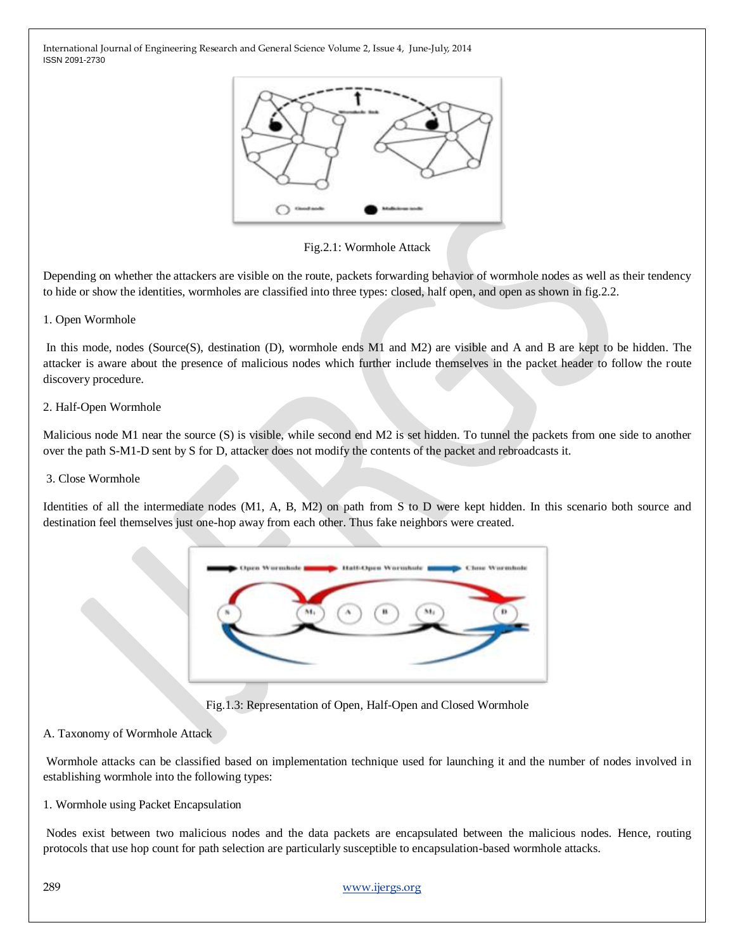

Fig.2.1: Wormhole Attack

Depending on whether the attackers are visible on the route, packets forwarding behavior of wormhole nodes as well as their tendency to hide or show the identities, wormholes are classified into three types: closed, half open, and open as shown in fig.2.2.

### 1. Open Wormhole

In this mode, nodes (Source(S), destination (D), wormhole ends M1 and M2) are visible and A and B are kept to be hidden. The attacker is aware about the presence of malicious nodes which further include themselves in the packet header to follow the route discovery procedure.

#### 2. Half-Open Wormhole

Malicious node M1 near the source (S) is visible, while second end M2 is set hidden. To tunnel the packets from one side to another over the path S-M1-D sent by S for D, attacker does not modify the contents of the packet and rebroadcasts it.

#### 3. Close Wormhole

Identities of all the intermediate nodes (M1, A, B, M2) on path from S to D were kept hidden. In this scenario both source and destination feel themselves just one-hop away from each other. Thus fake neighbors were created.



Fig.1.3: Representation of Open, Half-Open and Closed Wormhole

### A. Taxonomy of Wormhole Attack

Wormhole attacks can be classified based on implementation technique used for launching it and the number of nodes involved in establishing wormhole into the following types:

#### 1. Wormhole using Packet Encapsulation

Nodes exist between two malicious nodes and the data packets are encapsulated between the malicious nodes. Hence, routing protocols that use hop count for path selection are particularly susceptible to encapsulation-based wormhole attacks.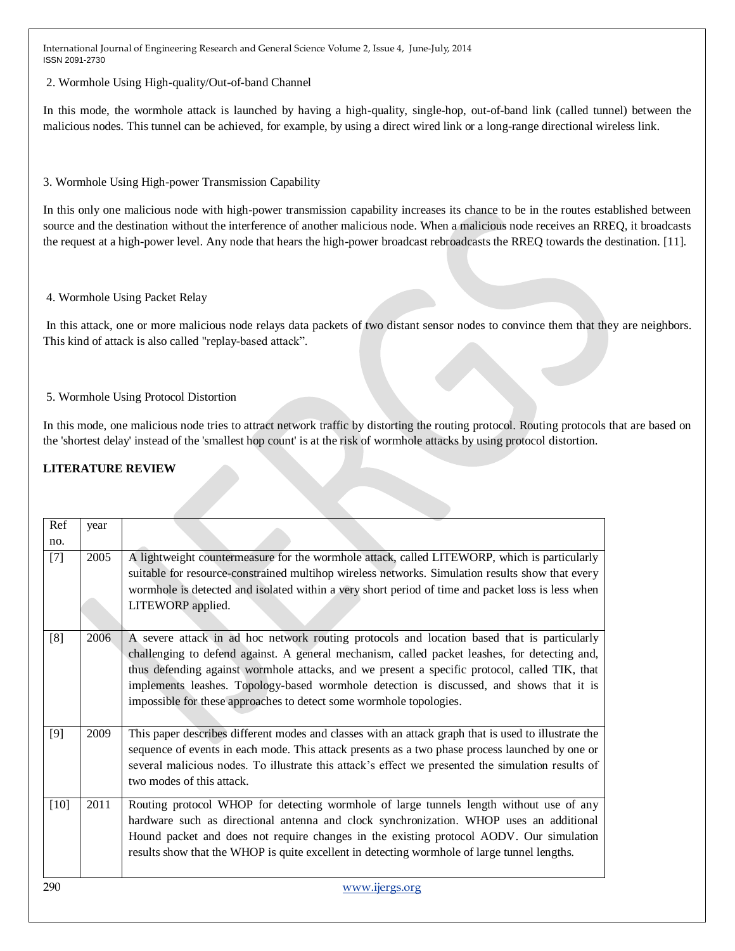2. Wormhole Using High-quality/Out-of-band Channel

In this mode, the wormhole attack is launched by having a high-quality, single-hop, out-of-band link (called tunnel) between the malicious nodes. This tunnel can be achieved, for example, by using a direct wired link or a long-range directional wireless link.

### 3. Wormhole Using High-power Transmission Capability

In this only one malicious node with high-power transmission capability increases its chance to be in the routes established between source and the destination without the interference of another malicious node. When a malicious node receives an RREQ, it broadcasts the request at a high-power level. Any node that hears the high-power broadcast rebroadcasts the RREQ towards the destination. [11].

### 4. Wormhole Using Packet Relay

In this attack, one or more malicious node relays data packets of two distant sensor nodes to convince them that they are neighbors. This kind of attack is also called "replay-based attack".

### 5. Wormhole Using Protocol Distortion

In this mode, one malicious node tries to attract network traffic by distorting the routing protocol. Routing protocols that are based on the 'shortest delay' instead of the 'smallest hop count' is at the risk of wormhole attacks by using protocol distortion.

### **LITERATURE REVIEW**

| Ref    | year |                                                                                                                                                                                                                                                                                                                                                                                                                                                                  |
|--------|------|------------------------------------------------------------------------------------------------------------------------------------------------------------------------------------------------------------------------------------------------------------------------------------------------------------------------------------------------------------------------------------------------------------------------------------------------------------------|
| no.    |      |                                                                                                                                                                                                                                                                                                                                                                                                                                                                  |
| $[7]$  | 2005 | A lightweight countermeasure for the wormhole attack, called LITEWORP, which is particularly<br>suitable for resource-constrained multihop wireless networks. Simulation results show that every<br>wormhole is detected and isolated within a very short period of time and packet loss is less when                                                                                                                                                            |
|        |      | LITEWORP applied.                                                                                                                                                                                                                                                                                                                                                                                                                                                |
| [8]    | 2006 | A severe attack in ad hoc network routing protocols and location based that is particularly<br>challenging to defend against. A general mechanism, called packet leashes, for detecting and,<br>thus defending against wormhole attacks, and we present a specific protocol, called TIK, that<br>implements leashes. Topology-based wormhole detection is discussed, and shows that it is<br>impossible for these approaches to detect some wormhole topologies. |
| [9]    | 2009 | This paper describes different modes and classes with an attack graph that is used to illustrate the<br>sequence of events in each mode. This attack presents as a two phase process launched by one or<br>several malicious nodes. To illustrate this attack's effect we presented the simulation results of<br>two modes of this attack.                                                                                                                       |
| $[10]$ | 2011 | Routing protocol WHOP for detecting wormhole of large tunnels length without use of any<br>hardware such as directional antenna and clock synchronization. WHOP uses an additional<br>Hound packet and does not require changes in the existing protocol AODV. Our simulation<br>results show that the WHOP is quite excellent in detecting wormhole of large tunnel lengths.                                                                                    |
| 290    |      | www.ijergs.org                                                                                                                                                                                                                                                                                                                                                                                                                                                   |
|        |      |                                                                                                                                                                                                                                                                                                                                                                                                                                                                  |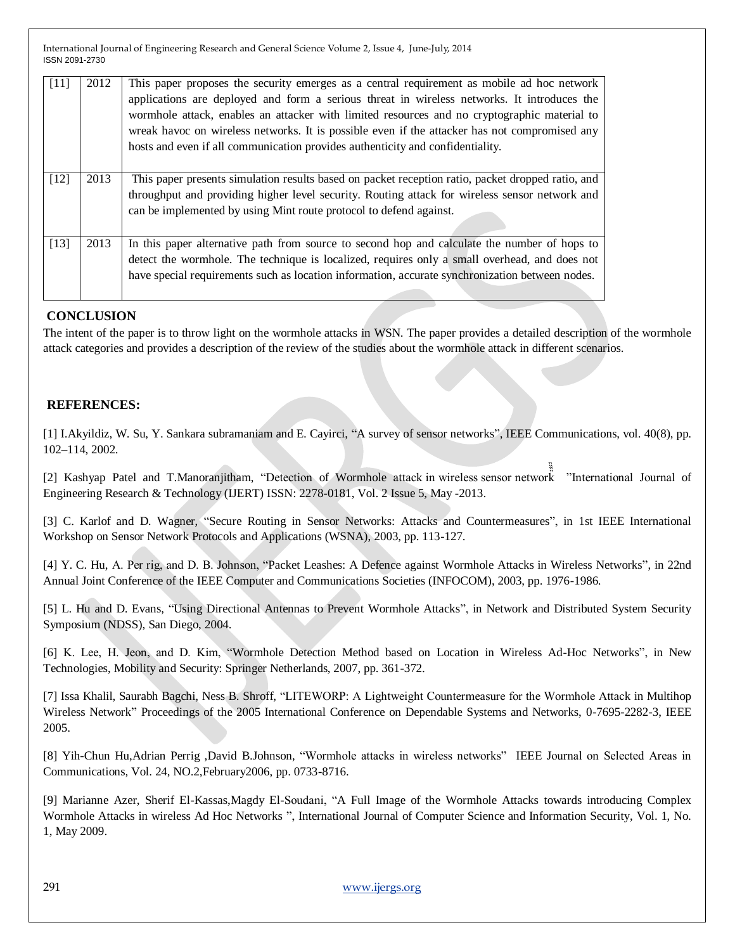| [11]   | 2012 | This paper proposes the security emerges as a central requirement as mobile ad hoc network<br>applications are deployed and form a serious threat in wireless networks. It introduces the<br>wormhole attack, enables an attacker with limited resources and no cryptographic material to<br>wreak havoc on wireless networks. It is possible even if the attacker has not compromised any<br>hosts and even if all communication provides authenticity and confidentiality. |
|--------|------|------------------------------------------------------------------------------------------------------------------------------------------------------------------------------------------------------------------------------------------------------------------------------------------------------------------------------------------------------------------------------------------------------------------------------------------------------------------------------|
| $[12]$ | 2013 | This paper presents simulation results based on packet reception ratio, packet dropped ratio, and<br>throughput and providing higher level security. Routing attack for wireless sensor network and<br>can be implemented by using Mint route protocol to defend against.                                                                                                                                                                                                    |
| $[13]$ | 2013 | In this paper alternative path from source to second hop and calculate the number of hops to<br>detect the wormhole. The technique is localized, requires only a small overhead, and does not<br>have special requirements such as location information, accurate synchronization between nodes.                                                                                                                                                                             |

### **CONCLUSION**

The intent of the paper is to throw light on the wormhole attacks in WSN. The paper provides a detailed description of the wormhole attack categories and provides a description of the review of the studies about the wormhole attack in different scenarios.

### **REFERENCES:**

[1] I.Akyildiz, W. Su, Y. Sankara subramaniam and E. Cayirci, "A survey of sensor networks", IEEE Communications, vol. 40(8), pp. 102–114, 2002.

™ [2] Kashyap Patel and T.Manoranjitham, "Detection of Wormhole attack in wireless sensor network "International Journal of Engineering Research & Technology (IJERT) ISSN: 2278-0181, Vol. 2 Issue 5, May -2013.

[3] C. Karlof and D. Wagner, "Secure Routing in Sensor Networks: Attacks and Countermeasures", in 1st IEEE International Workshop on Sensor Network Protocols and Applications (WSNA), 2003, pp. 113-127.

[4] Y. C. Hu, A. Per rig, and D. B. Johnson, "Packet Leashes: A Defence against Wormhole Attacks in Wireless Networks", in 22nd Annual Joint Conference of the IEEE Computer and Communications Societies (INFOCOM), 2003, pp. 1976-1986.

[5] L. Hu and D. Evans, "Using Directional Antennas to Prevent Wormhole Attacks", in Network and Distributed System Security Symposium (NDSS), San Diego, 2004.

[6] K. Lee, H. Jeon, and D. Kim, "Wormhole Detection Method based on Location in Wireless Ad-Hoc Networks", in New Technologies, Mobility and Security: Springer Netherlands, 2007, pp. 361-372.

[7] Issa Khalil, Saurabh Bagchi, Ness B. Shroff, "LITEWORP: A Lightweight Countermeasure for the Wormhole Attack in Multihop Wireless Network" Proceedings of the 2005 International Conference on Dependable Systems and Networks, 0-7695-2282-3, IEEE 2005.

[8] Yih-Chun Hu,Adrian Perrig ,David B.Johnson, "Wormhole attacks in wireless networks" IEEE Journal on Selected Areas in Communications, Vol. 24, NO.2,February2006, pp. 0733-8716.

[9] Marianne Azer, Sherif El-Kassas,Magdy El-Soudani, "A Full Image of the Wormhole Attacks towards introducing Complex Wormhole Attacks in wireless Ad Hoc Networks ", International Journal of Computer Science and Information Security, Vol. 1, No. 1, May 2009.